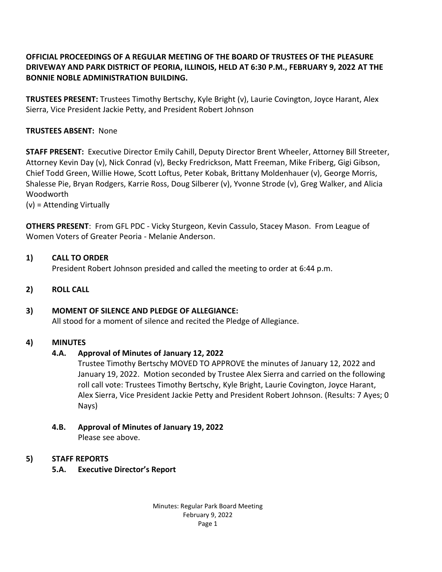# **OFFICIAL PROCEEDINGS OF A REGULAR MEETING OF THE BOARD OF TRUSTEES OF THE PLEASURE DRIVEWAY AND PARK DISTRICT OF PEORIA, ILLINOIS, HELD AT 6:30 P.M., FEBRUARY 9, 2022 AT THE BONNIE NOBLE ADMINISTRATION BUILDING.**

**TRUSTEES PRESENT:** Trustees Timothy Bertschy, Kyle Bright (v), Laurie Covington, Joyce Harant, Alex Sierra, Vice President Jackie Petty, and President Robert Johnson

# **TRUSTEES ABSENT:** None

**STAFF PRESENT:** Executive Director Emily Cahill, Deputy Director Brent Wheeler, Attorney Bill Streeter, Attorney Kevin Day (v), Nick Conrad (v), Becky Fredrickson, Matt Freeman, Mike Friberg, Gigi Gibson, Chief Todd Green, Willie Howe, Scott Loftus, Peter Kobak, Brittany Moldenhauer (v), George Morris, Shalesse Pie, Bryan Rodgers, Karrie Ross, Doug Silberer (v), Yvonne Strode (v), Greg Walker, and Alicia Woodworth

(v) = Attending Virtually

**OTHERS PRESENT**: From GFL PDC - Vicky Sturgeon, Kevin Cassulo, Stacey Mason. From League of Women Voters of Greater Peoria - Melanie Anderson.

# **1) CALL TO ORDER**

President Robert Johnson presided and called the meeting to order at 6:44 p.m.

**2) ROLL CALL**

# **3) MOMENT OF SILENCE AND PLEDGE OF ALLEGIANCE:**

All stood for a moment of silence and recited the Pledge of Allegiance.

# **4) MINUTES**

# **4.A. Approval of Minutes of January 12, 2022**

Trustee Timothy Bertschy MOVED TO APPROVE the minutes of January 12, 2022 and January 19, 2022. Motion seconded by Trustee Alex Sierra and carried on the following roll call vote: Trustees Timothy Bertschy, Kyle Bright, Laurie Covington, Joyce Harant, Alex Sierra, Vice President Jackie Petty and President Robert Johnson. (Results: 7 Ayes; 0 Nays)

**4.B. Approval of Minutes of January 19, 2022**

Please see above.

# **5) STAFF REPORTS**

 **5.A. Executive Director's Report**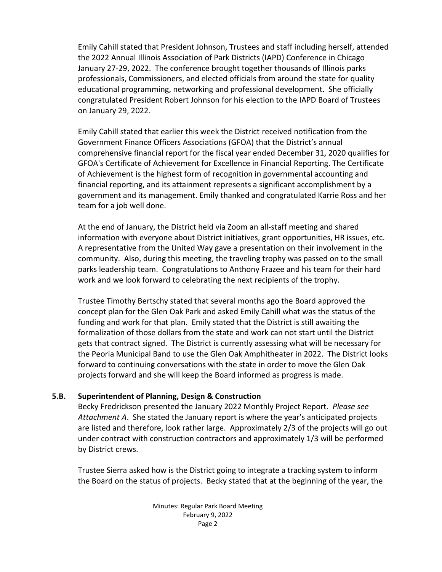Emily Cahill stated that President Johnson, Trustees and staff including herself, attended the 2022 Annual Illinois Association of Park Districts (IAPD) Conference in Chicago January 27-29, 2022. The conference brought together thousands of Illinois parks professionals, Commissioners, and elected officials from around the state for quality educational programming, networking and professional development. She officially congratulated President Robert Johnson for his election to the IAPD Board of Trustees on January 29, 2022.

Emily Cahill stated that earlier this week the District received notification from the Government Finance Officers Associations (GFOA) that the District's annual comprehensive financial report for the fiscal year ended December 31, 2020 qualifies for GFOA's Certificate of Achievement for Excellence in Financial Reporting. The Certificate of Achievement is the highest form of recognition in governmental accounting and financial reporting, and its attainment represents a significant accomplishment by a government and its management. Emily thanked and congratulated Karrie Ross and her team for a job well done.

At the end of January, the District held via Zoom an all-staff meeting and shared information with everyone about District initiatives, grant opportunities, HR issues, etc. A representative from the United Way gave a presentation on their involvement in the community. Also, during this meeting, the traveling trophy was passed on to the small parks leadership team. Congratulations to Anthony Frazee and his team for their hard work and we look forward to celebrating the next recipients of the trophy.

Trustee Timothy Bertschy stated that several months ago the Board approved the concept plan for the Glen Oak Park and asked Emily Cahill what was the status of the funding and work for that plan. Emily stated that the District is still awaiting the formalization of those dollars from the state and work can not start until the District gets that contract signed. The District is currently assessing what will be necessary for the Peoria Municipal Band to use the Glen Oak Amphitheater in 2022. The District looks forward to continuing conversations with the state in order to move the Glen Oak projects forward and she will keep the Board informed as progress is made.

# **5.B. Superintendent of Planning, Design & Construction**

Becky Fredrickson presented the January 2022 Monthly Project Report. *Please see Attachment A*. She stated the January report is where the year's anticipated projects are listed and therefore, look rather large. Approximately 2/3 of the projects will go out under contract with construction contractors and approximately 1/3 will be performed by District crews.

Trustee Sierra asked how is the District going to integrate a tracking system to inform the Board on the status of projects. Becky stated that at the beginning of the year, the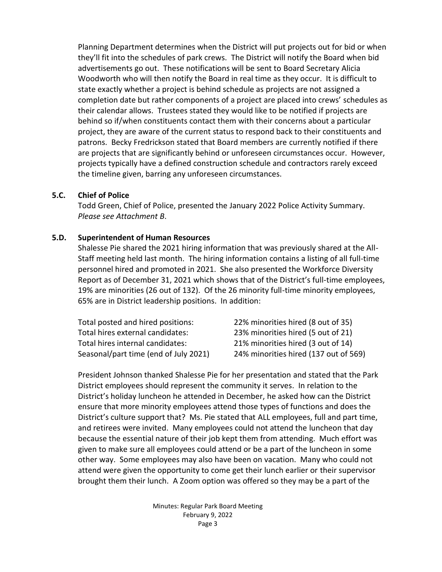Planning Department determines when the District will put projects out for bid or when they'll fit into the schedules of park crews. The District will notify the Board when bid advertisements go out. These notifications will be sent to Board Secretary Alicia Woodworth who will then notify the Board in real time as they occur. It is difficult to state exactly whether a project is behind schedule as projects are not assigned a completion date but rather components of a project are placed into crews' schedules as their calendar allows. Trustees stated they would like to be notified if projects are behind so if/when constituents contact them with their concerns about a particular project, they are aware of the current status to respond back to their constituents and patrons. Becky Fredrickson stated that Board members are currently notified if there are projects that are significantly behind or unforeseen circumstances occur. However, projects typically have a defined construction schedule and contractors rarely exceed the timeline given, barring any unforeseen circumstances.

#### **5.C. Chief of Police**

Todd Green, Chief of Police, presented the January 2022 Police Activity Summary. *Please see Attachment B*.

#### **5.D. Superintendent of Human Resources**

Shalesse Pie shared the 2021 hiring information that was previously shared at the All-Staff meeting held last month. The hiring information contains a listing of all full-time personnel hired and promoted in 2021. She also presented the Workforce Diversity Report as of December 31, 2021 which shows that of the District's full-time employees, 19% are minorities (26 out of 132). Of the 26 minority full-time minority employees, 65% are in District leadership positions. In addition:

| Total posted and hired positions:     | 22% minorities hired (8 out of 35)    |
|---------------------------------------|---------------------------------------|
| Total hires external candidates:      | 23% minorities hired (5 out of 21)    |
| Total hires internal candidates:      | 21% minorities hired (3 out of 14)    |
| Seasonal/part time (end of July 2021) | 24% minorities hired (137 out of 569) |

President Johnson thanked Shalesse Pie for her presentation and stated that the Park District employees should represent the community it serves. In relation to the District's holiday luncheon he attended in December, he asked how can the District ensure that more minority employees attend those types of functions and does the District's culture support that? Ms. Pie stated that ALL employees, full and part time, and retirees were invited. Many employees could not attend the luncheon that day because the essential nature of their job kept them from attending. Much effort was given to make sure all employees could attend or be a part of the luncheon in some other way. Some employees may also have been on vacation. Many who could not attend were given the opportunity to come get their lunch earlier or their supervisor brought them their lunch. A Zoom option was offered so they may be a part of the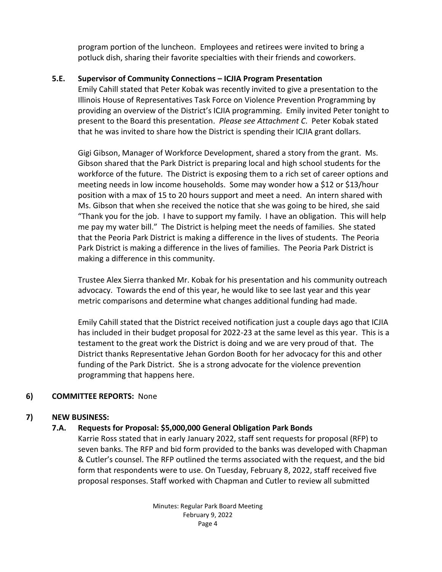program portion of the luncheon. Employees and retirees were invited to bring a potluck dish, sharing their favorite specialties with their friends and coworkers.

# **5.E. Supervisor of Community Connections – ICJIA Program Presentation**

Emily Cahill stated that Peter Kobak was recently invited to give a presentation to the Illinois House of Representatives Task Force on Violence Prevention Programming by providing an overview of the District's ICJIA programming. Emily invited Peter tonight to present to the Board this presentation. *Please see Attachment C*. Peter Kobak stated that he was invited to share how the District is spending their ICJIA grant dollars.

Gigi Gibson, Manager of Workforce Development, shared a story from the grant. Ms. Gibson shared that the Park District is preparing local and high school students for the workforce of the future. The District is exposing them to a rich set of career options and meeting needs in low income households. Some may wonder how a \$12 or \$13/hour position with a max of 15 to 20 hours support and meet a need. An intern shared with Ms. Gibson that when she received the notice that she was going to be hired, she said "Thank you for the job. I have to support my family. I have an obligation. This will help me pay my water bill." The District is helping meet the needs of families. She stated that the Peoria Park District is making a difference in the lives of students. The Peoria Park District is making a difference in the lives of families. The Peoria Park District is making a difference in this community.

Trustee Alex Sierra thanked Mr. Kobak for his presentation and his community outreach advocacy. Towards the end of this year, he would like to see last year and this year metric comparisons and determine what changes additional funding had made.

Emily Cahill stated that the District received notification just a couple days ago that ICJIA has included in their budget proposal for 2022-23 at the same level as this year. This is a testament to the great work the District is doing and we are very proud of that. The District thanks Representative Jehan Gordon Booth for her advocacy for this and other funding of the Park District. She is a strong advocate for the violence prevention programming that happens here.

# **6) COMMITTEE REPORTS:** None

# **7) NEW BUSINESS:**

# **7.A. Requests for Proposal: \$5,000,000 General Obligation Park Bonds**

Karrie Ross stated that in early January 2022, staff sent requests for proposal (RFP) to seven banks. The RFP and bid form provided to the banks was developed with Chapman & Cutler's counsel. The RFP outlined the terms associated with the request, and the bid form that respondents were to use. On Tuesday, February 8, 2022, staff received five proposal responses. Staff worked with Chapman and Cutler to review all submitted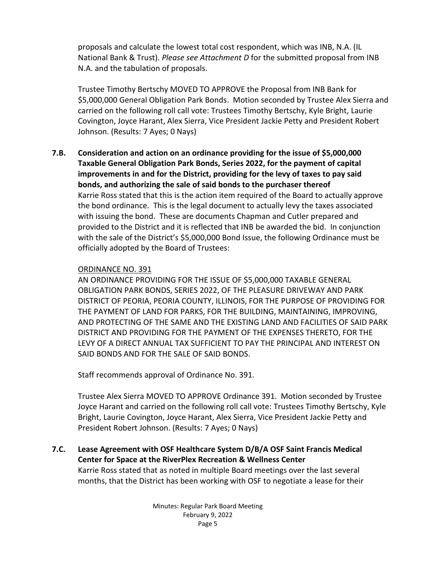proposals and calculate the lowest total cost respondent, which was INB, N.A. (IL National Bank & Trust). *Please see Attachment D* for the submitted proposal from INB N.A. and the tabulation of proposals.

Trustee Timothy Bertschy MOVED TO APPROVE the Proposal from INB Bank for \$5,000,000 General Obligation Park Bonds. Motion seconded by Trustee Alex Sierra and carried on the following roll call vote: Trustees Timothy Bertschy, Kyle Bright, Laurie Covington, Joyce Harant, Alex Sierra, Vice President Jackie Petty and President Robert Johnson. (Results: 7 Ayes; 0 Nays)

**7.B. Consideration and action on an ordinance providing for the issue of \$5,000,000 Taxable General Obligation Park Bonds, Series 2022, for the payment of capital improvements in and for the District, providing for the levy of taxes to pay said bonds, and authorizing the sale of said bonds to the purchaser thereof** Karrie Ross stated that this is the action item required of the Board to actually approve the bond ordinance. This is the legal document to actually levy the taxes associated with issuing the bond. These are documents Chapman and Cutler prepared and provided to the District and it is reflected that INB be awarded the bid. In conjunction with the sale of the District's \$5,000,000 Bond Issue, the following Ordinance must be officially adopted by the Board of Trustees:

# ORDINANCE NO. 391

AN ORDINANCE PROVIDING FOR THE ISSUE OF \$5,000,000 TAXABLE GENERAL OBLIGATION PARK BONDS, SERIES 2022, OF THE PLEASURE DRIVEWAY AND PARK DISTRICT OF PEORIA, PEORIA COUNTY, ILLINOIS, FOR THE PURPOSE OF PROVIDING FOR THE PAYMENT OF LAND FOR PARKS, FOR THE BUILDING, MAINTAINING, IMPROVING, AND PROTECTING OF THE SAME AND THE EXISTING LAND AND FACILITIES OF SAID PARK DISTRICT AND PROVIDING FOR THE PAYMENT OF THE EXPENSES THERETO, FOR THE LEVY OF A DIRECT ANNUAL TAX SUFFICIENT TO PAY THE PRINCIPAL AND INTEREST ON SAID BONDS AND FOR THE SALE OF SAID BONDS.

Staff recommends approval of Ordinance No. 391.

Trustee Alex Sierra MOVED TO APPROVE Ordinance 391. Motion seconded by Trustee Joyce Harant and carried on the following roll call vote: Trustees Timothy Bertschy, Kyle Bright, Laurie Covington, Joyce Harant, Alex Sierra, Vice President Jackie Petty and President Robert Johnson. (Results: 7 Ayes; 0 Nays)

**7.C. Lease Agreement with OSF Healthcare System D/B/A OSF Saint Francis Medical Center for Space at the RiverPlex Recreation & Wellness Center** Karrie Ross stated that as noted in multiple Board meetings over the last several months, that the District has been working with OSF to negotiate a lease for their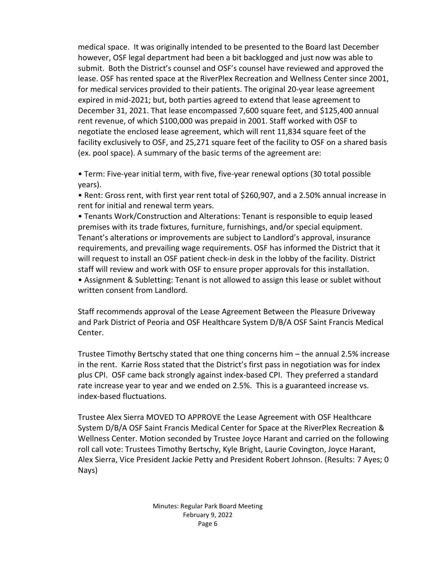medical space. It was originally intended to be presented to the Board last December however, OSF legal department had been a bit backlogged and just now was able to submit. Both the District's counsel and OSF's counsel have reviewed and approved the lease. OSF has rented space at the RiverPlex Recreation and Wellness Center since 2001, for medical services provided to their patients. The original 20-year lease agreement expired in mid-2021; but, both parties agreed to extend that lease agreement to December 31, 2021. That lease encompassed 7,600 square feet, and \$125,400 annual rent revenue, of which \$100,000 was prepaid in 2001. Staff worked with OSF to negotiate the enclosed lease agreement, which will rent 11,834 square feet of the facility exclusively to OSF, and 25,271 square feet of the facility to OSF on a shared basis (ex. pool space). A summary of the basic terms of the agreement are:

• Term: Five-year initial term, with five, five-year renewal options (30 total possible years).

• Rent: Gross rent, with first year rent total of \$260,907, and a 2.50% annual increase in rent for initial and renewal term years.

• Tenants Work/Construction and Alterations: Tenant is responsible to equip leased premises with its trade fixtures, furniture, furnishings, and/or special equipment. Tenant's alterations or improvements are subject to Landlord's approval, insurance requirements, and prevailing wage requirements. OSF has informed the District that it will request to install an OSF patient check-in desk in the lobby of the facility. District staff will review and work with OSF to ensure proper approvals for this installation. • Assignment & Subletting: Tenant is not allowed to assign this lease or sublet without written consent from Landlord.

Staff recommends approval of the Lease Agreement Between the Pleasure Driveway and Park District of Peoria and OSF Healthcare System D/B/A OSF Saint Francis Medical Center.

Trustee Timothy Bertschy stated that one thing concerns him – the annual 2.5% increase in the rent. Karrie Ross stated that the District's first pass in negotiation was for index plus CPI. OSF came back strongly against index-based CPI. They preferred a standard rate increase year to year and we ended on 2.5%. This is a guaranteed increase vs. index-based fluctuations.

Trustee Alex Sierra MOVED TO APPROVE the Lease Agreement with OSF Healthcare System D/B/A OSF Saint Francis Medical Center for Space at the RiverPlex Recreation & Wellness Center. Motion seconded by Trustee Joyce Harant and carried on the following roll call vote: Trustees Timothy Bertschy, Kyle Bright, Laurie Covington, Joyce Harant, Alex Sierra, Vice President Jackie Petty and President Robert Johnson. (Results: 7 Ayes; 0 Nays)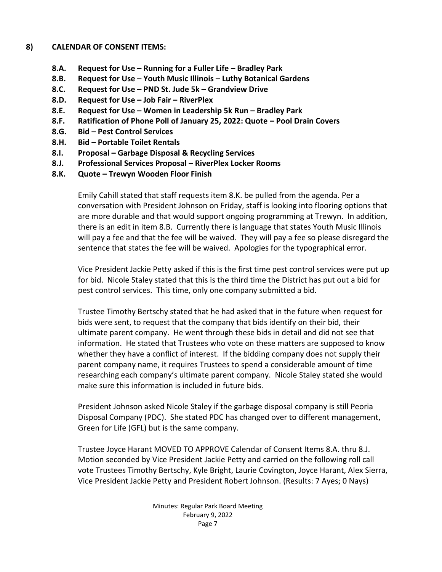#### **8) CALENDAR OF CONSENT ITEMS:**

- **8.A. Request for Use – Running for a Fuller Life – Bradley Park**
- **8.B. Request for Use – Youth Music Illinois – Luthy Botanical Gardens**
- **8.C. Request for Use – PND St. Jude 5k – Grandview Drive**
- **8.D. Request for Use – Job Fair – RiverPlex**
- **8.E. Request for Use – Women in Leadership 5k Run – Bradley Park**
- **8.F. Ratification of Phone Poll of January 25, 2022: Quote – Pool Drain Covers**
- **8.G. Bid – Pest Control Services**
- **8.H. Bid – Portable Toilet Rentals**
- **8.I. Proposal – Garbage Disposal & Recycling Services**
- **8.J. Professional Services Proposal – RiverPlex Locker Rooms**
- **8.K. Quote – Trewyn Wooden Floor Finish**

Emily Cahill stated that staff requests item 8.K. be pulled from the agenda. Per a conversation with President Johnson on Friday, staff is looking into flooring options that are more durable and that would support ongoing programming at Trewyn. In addition, there is an edit in item 8.B. Currently there is language that states Youth Music Illinois will pay a fee and that the fee will be waived. They will pay a fee so please disregard the sentence that states the fee will be waived. Apologies for the typographical error.

Vice President Jackie Petty asked if this is the first time pest control services were put up for bid. Nicole Staley stated that this is the third time the District has put out a bid for pest control services. This time, only one company submitted a bid.

Trustee Timothy Bertschy stated that he had asked that in the future when request for bids were sent, to request that the company that bids identify on their bid, their ultimate parent company. He went through these bids in detail and did not see that information. He stated that Trustees who vote on these matters are supposed to know whether they have a conflict of interest. If the bidding company does not supply their parent company name, it requires Trustees to spend a considerable amount of time researching each company's ultimate parent company. Nicole Staley stated she would make sure this information is included in future bids.

President Johnson asked Nicole Staley if the garbage disposal company is still Peoria Disposal Company (PDC). She stated PDC has changed over to different management, Green for Life (GFL) but is the same company.

Trustee Joyce Harant MOVED TO APPROVE Calendar of Consent Items 8.A. thru 8.J. Motion seconded by Vice President Jackie Petty and carried on the following roll call vote Trustees Timothy Bertschy, Kyle Bright, Laurie Covington, Joyce Harant, Alex Sierra, Vice President Jackie Petty and President Robert Johnson. (Results: 7 Ayes; 0 Nays)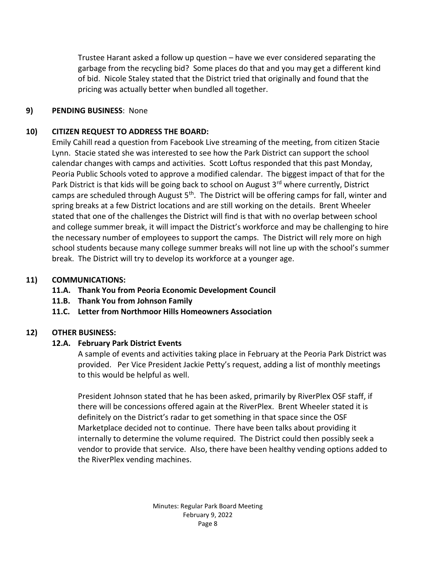Trustee Harant asked a follow up question – have we ever considered separating the garbage from the recycling bid? Some places do that and you may get a different kind of bid. Nicole Staley stated that the District tried that originally and found that the pricing was actually better when bundled all together.

### **9) PENDING BUSINESS**: None

# **10) CITIZEN REQUEST TO ADDRESS THE BOARD:**

Emily Cahill read a question from Facebook Live streaming of the meeting, from citizen Stacie Lynn. Stacie stated she was interested to see how the Park District can support the school calendar changes with camps and activities. Scott Loftus responded that this past Monday, Peoria Public Schools voted to approve a modified calendar. The biggest impact of that for the Park District is that kids will be going back to school on August 3<sup>rd</sup> where currently, District camps are scheduled through August 5<sup>th</sup>. The District will be offering camps for fall, winter and spring breaks at a few District locations and are still working on the details. Brent Wheeler stated that one of the challenges the District will find is that with no overlap between school and college summer break, it will impact the District's workforce and may be challenging to hire the necessary number of employees to support the camps. The District will rely more on high school students because many college summer breaks will not line up with the school's summer break. The District will try to develop its workforce at a younger age.

# **11) COMMUNICATIONS:**

- **11.A. Thank You from Peoria Economic Development Council**
- **11.B. Thank You from Johnson Family**
- **11.C. Letter from Northmoor Hills Homeowners Association**

# **12) OTHER BUSINESS:**

# **12.A. February Park District Events**

A sample of events and activities taking place in February at the Peoria Park District was provided. Per Vice President Jackie Petty's request, adding a list of monthly meetings to this would be helpful as well.

President Johnson stated that he has been asked, primarily by RiverPlex OSF staff, if there will be concessions offered again at the RiverPlex. Brent Wheeler stated it is definitely on the District's radar to get something in that space since the OSF Marketplace decided not to continue. There have been talks about providing it internally to determine the volume required. The District could then possibly seek a vendor to provide that service. Also, there have been healthy vending options added to the RiverPlex vending machines.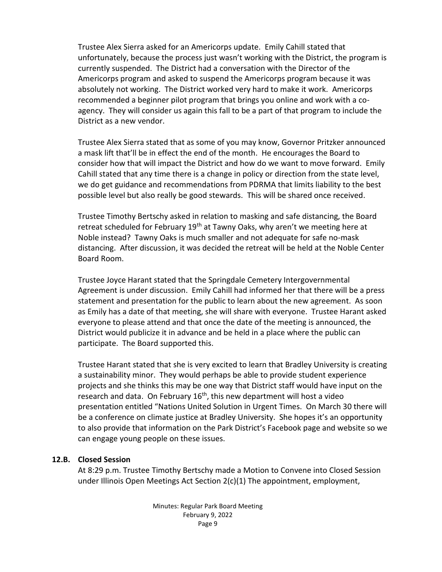Trustee Alex Sierra asked for an Americorps update. Emily Cahill stated that unfortunately, because the process just wasn't working with the District, the program is currently suspended. The District had a conversation with the Director of the Americorps program and asked to suspend the Americorps program because it was absolutely not working. The District worked very hard to make it work. Americorps recommended a beginner pilot program that brings you online and work with a coagency. They will consider us again this fall to be a part of that program to include the District as a new vendor.

Trustee Alex Sierra stated that as some of you may know, Governor Pritzker announced a mask lift that'll be in effect the end of the month. He encourages the Board to consider how that will impact the District and how do we want to move forward. Emily Cahill stated that any time there is a change in policy or direction from the state level, we do get guidance and recommendations from PDRMA that limits liability to the best possible level but also really be good stewards. This will be shared once received.

Trustee Timothy Bertschy asked in relation to masking and safe distancing, the Board retreat scheduled for February 19<sup>th</sup> at Tawny Oaks, why aren't we meeting here at Noble instead? Tawny Oaks is much smaller and not adequate for safe no-mask distancing. After discussion, it was decided the retreat will be held at the Noble Center Board Room.

Trustee Joyce Harant stated that the Springdale Cemetery Intergovernmental Agreement is under discussion. Emily Cahill had informed her that there will be a press statement and presentation for the public to learn about the new agreement. As soon as Emily has a date of that meeting, she will share with everyone. Trustee Harant asked everyone to please attend and that once the date of the meeting is announced, the District would publicize it in advance and be held in a place where the public can participate. The Board supported this.

Trustee Harant stated that she is very excited to learn that Bradley University is creating a sustainability minor. They would perhaps be able to provide student experience projects and she thinks this may be one way that District staff would have input on the research and data. On February  $16<sup>th</sup>$ , this new department will host a video presentation entitled "Nations United Solution in Urgent Times. On March 30 there will be a conference on climate justice at Bradley University. She hopes it's an opportunity to also provide that information on the Park District's Facebook page and website so we can engage young people on these issues.

### **12.B. Closed Session**

At 8:29 p.m. Trustee Timothy Bertschy made a Motion to Convene into Closed Session under Illinois Open Meetings Act Section 2(c)(1) The appointment, employment,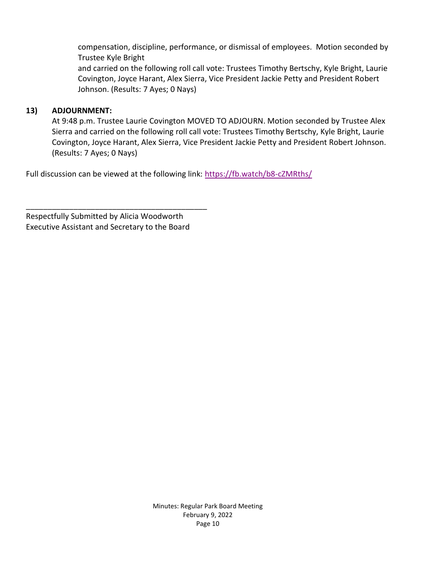compensation, discipline, performance, or dismissal of employees. Motion seconded by Trustee Kyle Bright and carried on the following roll call vote: Trustees Timothy Bertschy, Kyle Bright, Laurie Covington, Joyce Harant, Alex Sierra, Vice President Jackie Petty and President Robert

Johnson. (Results: 7 Ayes; 0 Nays)

# **13) ADJOURNMENT:**

At 9:48 p.m. Trustee Laurie Covington MOVED TO ADJOURN. Motion seconded by Trustee Alex Sierra and carried on the following roll call vote: Trustees Timothy Bertschy, Kyle Bright, Laurie Covington, Joyce Harant, Alex Sierra, Vice President Jackie Petty and President Robert Johnson. (Results: 7 Ayes; 0 Nays)

Full discussion can be viewed at the following link: <https://fb.watch/b8-cZMRths/>

Respectfully Submitted by Alicia Woodworth Executive Assistant and Secretary to the Board

\_\_\_\_\_\_\_\_\_\_\_\_\_\_\_\_\_\_\_\_\_\_\_\_\_\_\_\_\_\_\_\_\_\_\_\_\_\_\_\_\_\_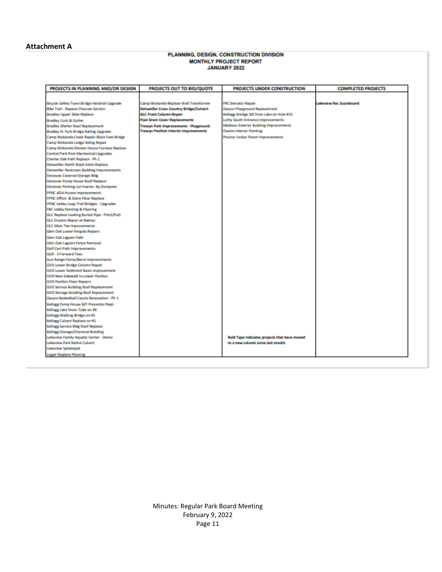#### **Attachment A**

# PLANNING, DESIGN, CONSTRUCTION DIVISION MONTHLY PROJECT REPORT

| PROJECTS IN PLANNING AND/OR DESIGN           | PROJECTS OUT TO BID/QUOTE                                                      | PROJECTS UNDER CONSTRUCTION                                                    | <b>COMPLETED PROJECTS</b>      |
|----------------------------------------------|--------------------------------------------------------------------------------|--------------------------------------------------------------------------------|--------------------------------|
|                                              |                                                                                |                                                                                |                                |
| Bicycle Safety Town Bridge Handrail Upgrade  | Camp Wokanda Replace Well Transformer                                          | <b>FRC Elevator Repair</b>                                                     | <b>Lakeview Rec Scoreboard</b> |
| Bike Trail - Repaye Chanute Section          | Detweißer Cross Country Bridge/Culvert                                         | Gwynn Playground Replacement                                                   |                                |
|                                              |                                                                                |                                                                                |                                |
| Bradley Upper Slide Replace                  | <b>GLC Front Column Repair</b><br>Pool Drain Cover Replacements                | Kellogg Dredge Silt from Lake on Hole #15<br>Luthy South Entrance Improvements |                                |
| Bradley Curb & Gutter                        |                                                                                |                                                                                |                                |
| Bradley Shelter Roof Replacement             | Trewyn Park Improvements - Playground<br>Trewyn Pavilion Interior Improvements | <b>Madison Exterior Building Improvements</b>                                  |                                |
| Bradley N. Fork Bridge Railing Upgrade       |                                                                                | <b>Owens Interior Painting</b>                                                 |                                |
| Camp Wokanda Creek Repair-Black Feet Bridge  |                                                                                | Proctor Locker Room Improvements                                               |                                |
| Camp Wokanda Lodge Siding Repair             |                                                                                |                                                                                |                                |
| Camp Wokanda Shower House Furnace Replace    |                                                                                |                                                                                |                                |
| Central Park Pool Mechanical Upgrades        |                                                                                |                                                                                |                                |
| Charter Oak Path Replace - Ph.1              |                                                                                |                                                                                |                                |
| Detweiller North Road Inlets Replace         |                                                                                |                                                                                |                                |
| Detweiler Restroom Building Improvements     |                                                                                |                                                                                |                                |
| Donovan Covered Storage Bldg                 |                                                                                |                                                                                |                                |
| Donovan Pump House Roof Replace              |                                                                                |                                                                                |                                |
| Donovan Parking Lot Improv. By Dumpster      |                                                                                |                                                                                |                                |
| <b>FPNC ADA Access Improvements</b>          |                                                                                |                                                                                |                                |
| FPNC Office & Store Floor Replace            |                                                                                |                                                                                |                                |
| FPNC Valley Loop Trail Bridges - Upgrades    |                                                                                |                                                                                |                                |
| <b>FRC Lobby Painting &amp; Flooring</b>     |                                                                                |                                                                                |                                |
| GLC Replace Leaking Buried Pipe - Pitch/Putt |                                                                                |                                                                                |                                |
| GLC Erosion Repair at Radnor                 |                                                                                |                                                                                |                                |
| <b>GLC Main Tee Improvements</b>             |                                                                                |                                                                                |                                |
| Glen Dak Lower Pergola Repairs               |                                                                                |                                                                                |                                |
| Glen Dak Lagoon Path                         |                                                                                |                                                                                |                                |
| Glen Dak Lagoon Fence Removal                |                                                                                |                                                                                |                                |
| Golf Cart Path Improvements                  |                                                                                |                                                                                |                                |
| Golf - 3 Forward Tees                        |                                                                                |                                                                                |                                |
| Gun Range Fence/Berm Improvements            |                                                                                |                                                                                |                                |
| GVD Lower Bridge Column Repair               |                                                                                |                                                                                |                                |
| <b>GVD Lower Sedment Basin Improvement</b>   |                                                                                |                                                                                |                                |
| GVD New Sidewalk to Lower Pavilion           |                                                                                |                                                                                |                                |
| <b>GVD Pavilion Floor Repairs</b>            |                                                                                |                                                                                |                                |
| <b>GVD Service Building Roof Replacement</b> |                                                                                |                                                                                |                                |
| <b>GVD Storage Building Roof Replacement</b> |                                                                                |                                                                                |                                |
| Gwynn Basketball Courts Renovation - Ph 1    |                                                                                |                                                                                |                                |
| Kellogg Pump House B/F Preventor Repl.       |                                                                                |                                                                                |                                |
| Kellogg Lake Drain Tube on #6                |                                                                                |                                                                                |                                |
| Kellogg Walking Bridge on #2                 |                                                                                |                                                                                |                                |
| Kellogg Culvert Replace on #1                |                                                                                |                                                                                |                                |
| Kellogg Service Bidg Roof Replace            |                                                                                |                                                                                |                                |
| Kellogg Storage/Chemical Building            |                                                                                |                                                                                |                                |
| Lakeview Family Aquatic Center - Demo        |                                                                                | Bold Type indicates projects that have moved                                   |                                |
| Lakeview Park Reline Culvert                 |                                                                                | to a new column since last month.                                              |                                |
| Lakeview Splashpad                           |                                                                                |                                                                                |                                |
| Logan Replace Flooring                       |                                                                                |                                                                                |                                |
|                                              |                                                                                |                                                                                |                                |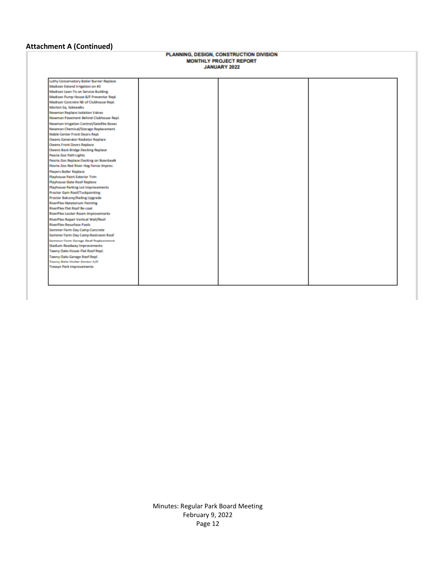# **Attachment A (Continued)**

# PLANNING, DESIGN, CONSTRUCTION DIVISION MONTHLY PROJECT REPORT<br>JANUARY 2022

| Luthy Conservatory Boiler Burner Replace   |  |  |
|--------------------------------------------|--|--|
| Madison Extend Irrigation on #2            |  |  |
| Madison Lean-To on Service Building        |  |  |
| Madison Pump House B/F Preventor Repl.     |  |  |
| Madison Concrete NE of Clubhouse Repl.     |  |  |
| Morton Sq. Sidewalks                       |  |  |
| Newman Replace Isolation Valves            |  |  |
| Newman Pavement Behind Clubhouse Repl.     |  |  |
| Newman Irrigation Control/Satellite Boses  |  |  |
| Newman Chemical/Storage Replacement        |  |  |
| Noble Center Front Doors Repl.             |  |  |
| Owens Generator Radiator Replace           |  |  |
| Owens Front Doors Replace                  |  |  |
| Owens Back Bridge Decking Replace          |  |  |
| Peoria Zoo Path Lights                     |  |  |
| Peoria Zoo Replace Decking on Boardwalk    |  |  |
| Pearls Zoo Red River Hog Fence Improv.     |  |  |
| <b>Players Boiler Replace</b>              |  |  |
| Playhouse Paint Exterior Trim              |  |  |
| Playhouse Slate Roof Replace               |  |  |
| <b>Playhouse Parking Lot Improvements</b>  |  |  |
| Practor Gym Roof/Tuckpointing              |  |  |
| Proctor Balcony/Railing Upgrade            |  |  |
| <b>RiverPlex Natatorium Painting</b>       |  |  |
| RiverPlex Flat Roof Re-coat                |  |  |
| RiverPlex Locker Room Improvements         |  |  |
| RiverPlex Repair Vertical Wall/Roof        |  |  |
| <b>RiverPlex Resurface Pools</b>           |  |  |
| Sommer Farm Day Camp Concrete              |  |  |
| Sommer Farm Day Camp Restroom Roof         |  |  |
| <b>Commer Farm Garage Roof Replacement</b> |  |  |
| Stadium Roadway Improvements               |  |  |
| Tawny Oaks House Flat Roof Repl.           |  |  |
| Tawny Oaks Garage Roof Repl.               |  |  |
| Tawny Gale Visiter Center A/C              |  |  |
| Trewyn Park Improvements                   |  |  |
|                                            |  |  |
|                                            |  |  |
|                                            |  |  |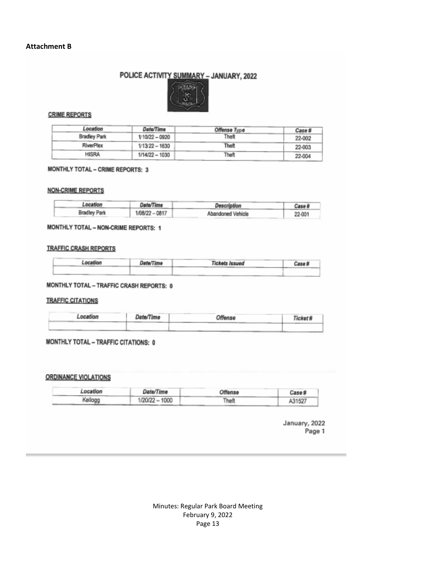# POLICE ACTIVITY SUMMARY - JANUARY, 2022



#### **CRIME REPORTS**

| Location            | Date/Time        | Offense Type | Case # |
|---------------------|------------------|--------------|--------|
| <b>Bradley Park</b> | $110/22 - 0920$  | Theft        | 22-002 |
| RiverPlex           | $1/13/22 - 1630$ | <b>Theft</b> | 22-003 |
| <b>HISRA</b>        | 1/14/22 - 1030   | Theft        | 22-004 |

#### MONTHLY TOTAL - CRIME REPORTS: 3

#### **NON-CRIME REPORTS**

| Location            | Date/Time      | Description       | Case # |
|---------------------|----------------|-------------------|--------|
| <b>Bradley Park</b> | 1/08/22 - 0817 | Abandoned Vehicle | 22-001 |

#### MONTHLY TOTAL - NON-CRIME REPORTS: 1

#### **TRAFFIC CRASH REPORTS**

| .ocation | Date/Time | <b>Tickets Issued</b><br>Case # |  |
|----------|-----------|---------------------------------|--|
|          |           |                                 |  |

#### MONTHLY TOTAL - TRAFFIC CRASH REPORTS: 0

#### **TRAFFIC CITATIONS**

| -ocation | Date/Time | Offense | <b>Ticket</b> |
|----------|-----------|---------|---------------|
|          |           |         |               |

#### MONTHLY TOTAL - TRAFFIC CITATIONS: 0

#### **ORDINANCE VIOLATIONS**

| Location | Date/Time      | Offense | Case # |
|----------|----------------|---------|--------|
| Kellogg  | 1/20/22 - 1000 | Theft   | A31527 |

January, 2022 Page 1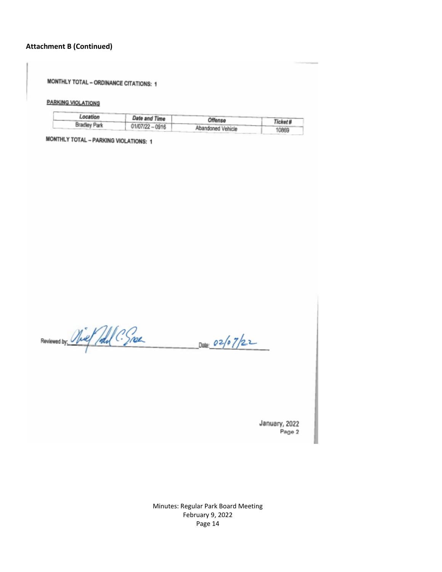#### **Attachment B (Continued)**

MONTHLY TOTAL - ORDINANCE CITATIONS: 1

**PARKING VIOLATIONS** 

| Location            |                   |                   |         |
|---------------------|-------------------|-------------------|---------|
|                     | Date and Time     | Offense           | Ticket# |
| <b>Bradley Park</b> | $01/07/22 - 0916$ |                   |         |
|                     |                   | Abandoned Vehicle | 10869   |

MONTHLY TOTAL - PARKING VIOLATIONS: 1

Reviewed by Niet Poll C. Snow Date: 02/07/22

January, 2022 Page 2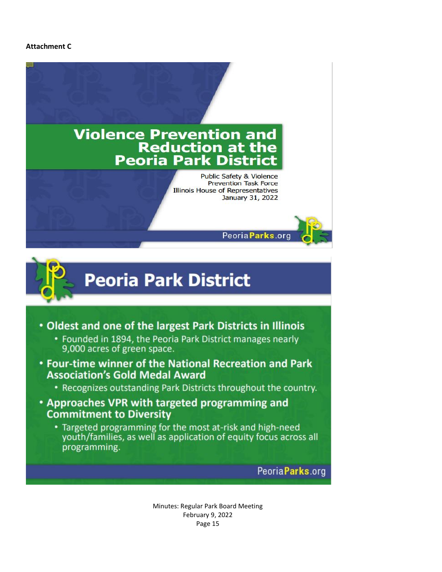#### **Attachment C**



# **Peoria Park District**

- Oldest and one of the largest Park Districts in Illinois
	- Founded in 1894, the Peoria Park District manages nearly 9,000 acres of green space.
- Four-time winner of the National Recreation and Park **Association's Gold Medal Award** 
	- Recognizes outstanding Park Districts throughout the country.
- Approaches VPR with targeted programming and **Commitment to Diversity** 
	- Targeted programming for the most at-risk and high-need youth/families, as well as application of equity focus across all programming.

PeoriaParks.org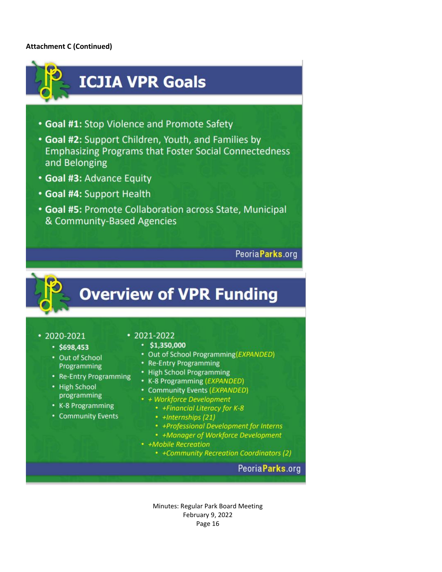#### **Attachment C (Continued)**



 $• 2020 - 2021$ 

# $\cdot$  2021-2022

- $•$698,453$ • Out of School Programming
- Re-Entry Programming
- High School programming
- K-8 Programming
- Community Events

# $\cdot$ \$1,350,000

- Out of School Programming(EXPANDED)
- Re-Entry Programming
- High School Programming
- K-8 Programming (EXPANDED)
- Community Events (EXPANDED)
- + Workforce Development
	- +Financial Literacy for K-8
	- · +Internships (21)
	- +Professional Development for Interns
	- +Manager of Workforce Development
- +Mobile Recreation
	- +Community Recreation Coordinators (2)

# Peoria Parks.org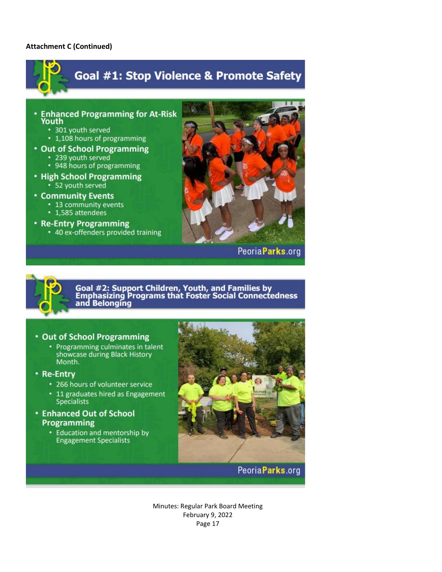#### **Attachment C (Continued)**



and Belonging

#### • Out of School Programming

- Programming culminates in talent showcase during Black History Month.
- Re-Entry
	- 266 hours of volunteer service
	- 11 graduates hired as Engagement Specialists
- **Enhanced Out of School** Programming
	- Education and mentorship by **Engagement Specialists**



# Peoria Parks.org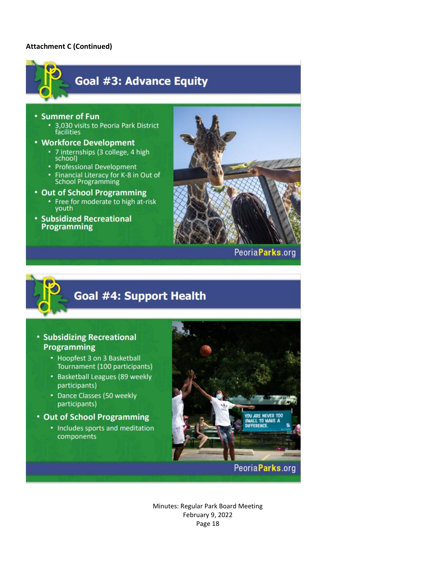#### **Attachment C (Continued)**



PeoriaParks.org



# Goal #4: Support Health

# **• Subsidizing Recreational** Programming

- Hoopfest 3 on 3 Basketball Tournament (100 participants)
- Basketball Leagues (89 weekly participants)
- Dance Classes (50 weekly participants)
- Out of School Programming
	- Includes sports and meditation components



# PeoriaParks.org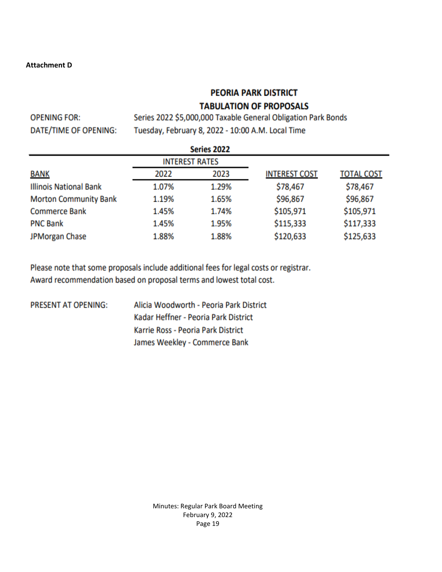#### **Attachment D**

# **PEORIA PARK DISTRICT**

# **TABULATION OF PROPOSALS**

**OPENING FOR:** DATE/TIME OF OPENING:

Series 2022 \$5,000,000 Taxable General Obligation Park Bonds Tuesday, February 8, 2022 - 10:00 A.M. Local Time

| Series 2022                   |                       |       |                      |                   |
|-------------------------------|-----------------------|-------|----------------------|-------------------|
|                               | <b>INTEREST RATES</b> |       |                      |                   |
| <b>BANK</b>                   | 2022                  | 2023  | <b>INTEREST COST</b> | <b>TOTAL COST</b> |
| <b>Illinois National Bank</b> | 1.07%                 | 1.29% | \$78,467             | \$78,467          |
| <b>Morton Community Bank</b>  | 1.19%                 | 1.65% | \$96,867             | \$96,867          |
| <b>Commerce Bank</b>          | 1.45%                 | 1.74% | \$105,971            | \$105,971         |
| <b>PNC Bank</b>               | 1.45%                 | 1.95% | \$115,333            | \$117,333         |
| JPMorgan Chase                | 1.88%                 | 1.88% | \$120,633            | \$125,633         |

Please note that some proposals include additional fees for legal costs or registrar. Award recommendation based on proposal terms and lowest total cost.

PRESENT AT OPENING:

Alicia Woodworth - Peoria Park District Kadar Heffner - Peoria Park District Karrie Ross - Peoria Park District James Weekley - Commerce Bank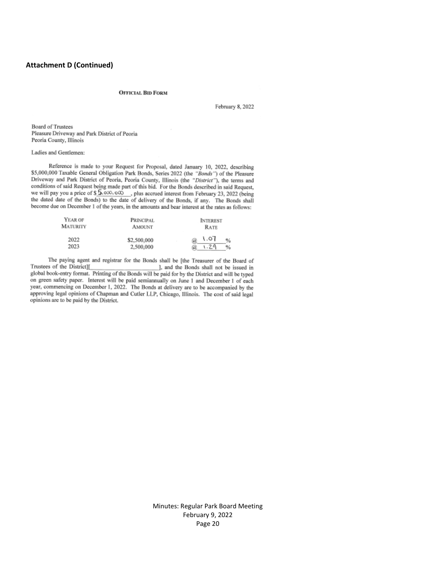#### **Attachment D (Continued)**

#### **OFFICIAL BID FORM**

February 8, 2022

**Board of Trustees** Pleasure Driveway and Park District of Peoria Peoria County, Illinois

#### Ladies and Gentlemen:

Reference is made to your Request for Proposal, dated January 10, 2022, describing \$5,000,000 Taxable General Obligation Park Bonds, Series 2022 (the "Bonds") of the Pleasure Driveway and Park District of Peoria, Peoria County, Illinois (the "District"), the terms and conditions of said Request being made part of this bid. For the Bonds described in said Request, when the pay you a price of \$5,000, eQ. (a) the source interest from February 23, 2022 (being<br>the distribution of  $\frac{1}{2}$  and  $\frac{1}{2}$  and  $\frac{1}{2}$  and  $\frac{1}{2}$  and  $\frac{1}{2}$  and  $\frac{1}{2}$  and  $\frac{1}{2}$  and  $\frac{1}{2}$ the dated date of the Bonds) to the date of delivery of the Bonds, if any. The Bonds shall become due on December 1 of the years, in the amounts and bear interest at the rates as follows:

| YEAR OF<br>MATURITY | <b>PRINCIPAL</b><br><b>INTEREST</b><br><b>AMOUNT</b><br><b>RATE</b> |                                         |
|---------------------|---------------------------------------------------------------------|-----------------------------------------|
| 2022<br>2023        | \$2,500,000<br>2,500,000                                            | 1.07<br>$\%$<br>ū,<br>1.29<br>$\%$<br>a |

The paying agent and registrar for the Bonds shall be [the Treasurer of the Board of ], and the Bonds shall not be issued in Trustees of the District][ global book-entry format. Printing of the Bonds will be paid for by the District and will be typed on green safety paper. Interest will be paid semiannually on June 1 and December 1 of each year, commencing on December 1, 2022. The Bonds at delivery are to be accompanied by the approving legal opinions of Chapman and Cutler LLP, Chicago, Illinois. The cost of said legal opinions are to be paid by the District.